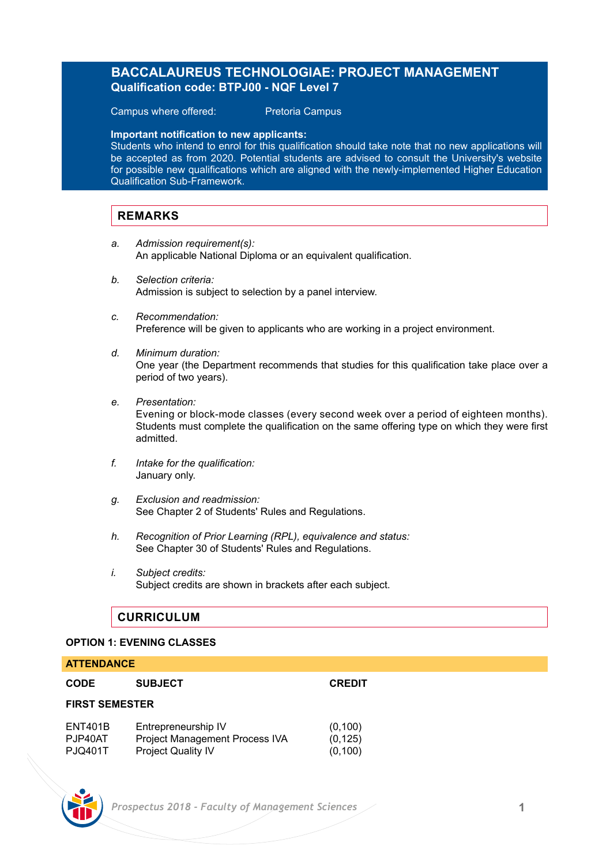## **BACCALAUREUS TECHNOLOGIAE: PROJECT MANAGEMENT Qualification code: BTPJ00 - NQF Level 7**

Campus where offered: Pretoria Campus

**Important notification to new applicants:** 

Students who intend to enrol for this qualification should take note that no new applications will be accepted as from 2020. Potential students are advised to consult the University's website for possible new qualifications which are aligned with the newly-implemented Higher Education Qualification Sub-Framework.

## **REMARKS**

- *a. Admission requirement(s):* An applicable National Diploma or an equivalent qualification.
- *b. Selection criteria:* Admission is subject to selection by a panel interview.
- *c. Recommendation:*  Preference will be given to applicants who are working in a project environment.
- *d. Minimum duration:* One year (the Department recommends that studies for this qualification take place over a period of two years).
- *e. Presentation:* Evening or block-mode classes (every second week over a period of eighteen months). Students must complete the qualification on the same offering type on which they were first admitted.
- *f. Intake for the qualification:* January only.
- *g. Exclusion and readmission:* See Chapter 2 of Students' Rules and Regulations.
- *h. Recognition of Prior Learning (RPL), equivalence and status:* See Chapter 30 of Students' Rules and Regulations.
- *i. Subject credits:* Subject credits are shown in brackets after each subject.

## **CURRICULUM**

### **OPTION 1: EVENING CLASSES**

|                       | <b>ATTENDANCE</b>                           |                                                                                           |                                  |  |  |
|-----------------------|---------------------------------------------|-------------------------------------------------------------------------------------------|----------------------------------|--|--|
|                       | <b>CODE</b>                                 | <b>SUBJECT</b>                                                                            | <b>CREDIT</b>                    |  |  |
| <b>FIRST SEMESTER</b> |                                             |                                                                                           |                                  |  |  |
|                       | <b>ENT401B</b><br>PJP40AT<br><b>PJQ401T</b> | Entrepreneurship IV<br><b>Project Management Process IVA</b><br><b>Project Quality IV</b> | (0, 100)<br>(0, 125)<br>(0, 100) |  |  |



 *Prospectus 2018 - Faculty of Management Sciences* **1**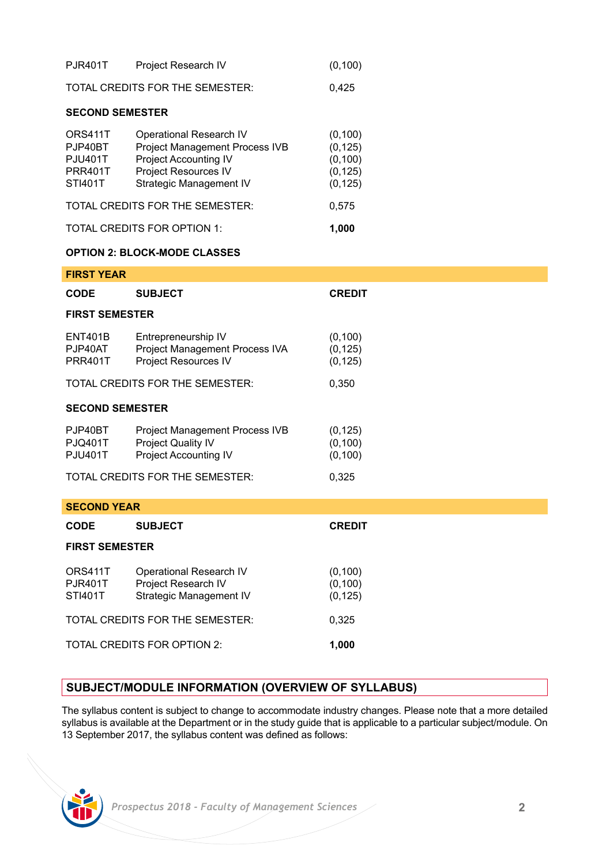| <b>PJR401T</b>                  | Project Research IV                   | (0, 100) |  |  |  |
|---------------------------------|---------------------------------------|----------|--|--|--|
| TOTAL CREDITS FOR THE SEMESTER: | 0.425                                 |          |  |  |  |
| <b>SECOND SEMESTER</b>          |                                       |          |  |  |  |
| ORS411T                         | Operational Research IV               | (0, 100) |  |  |  |
| PJP40BT                         | <b>Project Management Process IVB</b> | (0, 125) |  |  |  |
| <b>PJU401T</b>                  | <b>Project Accounting IV</b>          | (0, 100) |  |  |  |
| <b>PRR401T</b>                  | <b>Project Resources IV</b>           | (0, 125) |  |  |  |
| <b>STI401T</b>                  | Strategic Management IV               | (0, 125) |  |  |  |

| TOTAL CREDITS FOR THE SEMESTER: | 0.575 |
|---------------------------------|-------|
| TOTAL CREDITS FOR OPTION 1:     | 1.000 |

#### **OPTION 2: BLOCK-MODE CLASSES**

| <b>FIRST YEAR</b>                           |                                                                                      |                                  |  |  |  |  |
|---------------------------------------------|--------------------------------------------------------------------------------------|----------------------------------|--|--|--|--|
| <b>CODE</b>                                 | <b>SUBJECT</b>                                                                       | <b>CREDIT</b>                    |  |  |  |  |
| <b>FIRST SEMESTER</b>                       |                                                                                      |                                  |  |  |  |  |
| <b>ENT401B</b><br>PJP40AT<br><b>PRR401T</b> | Entrepreneurship IV<br>Project Management Process IVA<br><b>Project Resources IV</b> | (0, 100)<br>(0, 125)<br>(0, 125) |  |  |  |  |
|                                             | TOTAL CREDITS FOR THE SEMESTER:                                                      | 0,350                            |  |  |  |  |
| <b>SECOND SEMESTER</b>                      |                                                                                      |                                  |  |  |  |  |
| PJP40BT<br>PJQ401T<br><b>PJU401T</b>        | Project Management Process IVB<br>Project Quality IV<br>Project Accounting IV        | (0, 125)<br>(0, 100)<br>(0, 100) |  |  |  |  |
|                                             | TOTAL CREDITS FOR THE SEMESTER:                                                      | 0,325                            |  |  |  |  |
| <b>SECOND YEAR</b>                          |                                                                                      |                                  |  |  |  |  |
| CODE                                        | <b>SUBJECT</b>                                                                       | <b>CREDIT</b>                    |  |  |  |  |
| <b>FIRST SEMESTER</b>                       |                                                                                      |                                  |  |  |  |  |
| ORS411T<br><b>PJR401T</b><br>STI401T        | Operational Research IV<br>Project Research IV<br>Strategic Management IV            | (0, 100)<br>(0, 100)<br>(0, 125) |  |  |  |  |
|                                             | TOTAL CREDITS FOR THE SEMESTER:                                                      | 0,325                            |  |  |  |  |
|                                             | TOTAL CREDITS FOR OPTION 2:                                                          | 1,000                            |  |  |  |  |

## **SUBJECT/MODULE INFORMATION (OVERVIEW OF SYLLABUS)**

The syllabus content is subject to change to accommodate industry changes. Please note that a more detailed syllabus is available at the Department or in the study guide that is applicable to a particular subject/module. On 13 September 2017, the syllabus content was defined as follows: